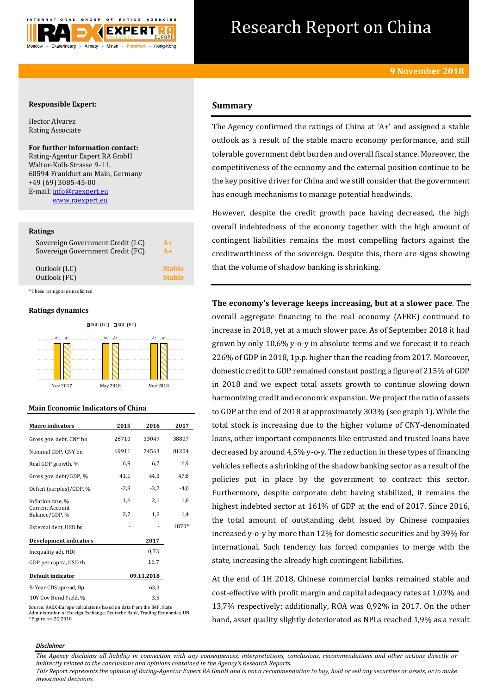

# Research Report on China

# **Responsible Expert:**

Hector Alvarez Rating Associate

# **For further information contact:**

Rating-Agentur Expert RA GmbH Walter-Kolb-Strasse 9-11, 60594 Frankfurt am Main, Germany +49 (69) 3085-45-00 E-mail[: info@raexpert.eu](mailto:info@raexpert.eu) [www.raexpert.eu](http://raexpert.eu/)

### **Ratings**

| Sovereign Government Credit (LC) | $A+$          |
|----------------------------------|---------------|
| Sovereign Government Credit (FC) | $A+$          |
| Outlook (LC)                     | <b>Stable</b> |
| Outlook (FC)                     | <b>Stable</b> |

\* These ratings are unsolicited

# **Ratings dynamics**



# **Main Economic Indicators of China**

| <b>Macro</b> indicators           | 2015   | 2016       | 2017   |
|-----------------------------------|--------|------------|--------|
| Gross gov. debt, CNY bn           | 28710  | 33049      | 38807  |
| Nominal GDP, CNY bn               | 69911  | 74563      | 81204  |
| Real GDP growth, %                | 6,9    | 6,7        | 6,9    |
| Gross gov. debt/GDP, %            | 41,1   | 44.3       | 47.8   |
| Deficit (surplus)/GDP, %          | $-2,8$ | $-3,7$     | $-4,0$ |
| Inflation rate, %                 | 1,6    | 2,1        | 1,8    |
| Current Account<br>Balance/GDP, % | 2,7    | 1,8        | 1,4    |
| External debt, USD bn             |        |            | 1870*  |
| <b>Development indicators</b>     |        | 2017       |        |
| Inequality adj. HDI               |        | 0,73       |        |
| GDP per capita, USD th            |        | 16,7       |        |
| Default indicator                 |        | 09.11.2018 |        |
| 5-Year CDS spread, Bp             |        | 63,3       |        |
| 10Y Gov Bond Yield, %             |        | 3.5        |        |

Source: RAEX-Europe calculations based on data from the IMF, State Administration of Foreign Exchange, Deutsche Bank, Trading Economics, UN \* Figure for 2Q 2018

# **Summary**

The Agency confirmed the ratings of China at 'A+' and assigned a stable outlook as a result of the stable macro economy performance, and still tolerable government debt burden and overall fiscal stance. Moreover, the competitiveness of the economy and the external position continue to be the key positive driver for China and we still consider that the government has enough mechanisms to manage potential headwinds.

However, despite the credit growth pace having decreased, the high overall indebtedness of the economy together with the high amount of contingent liabilities remains the most compelling factors against the creditworthiness of the sovereign. Despite this, there are signs showing that the volume of shadow banking is shrinking.

**The economy's leverage keeps increasing, but at a slower pace**. The overall aggregate financing to the real economy (AFRE) continued to increase in 2018, yet at a much slower pace. As of September 2018 it had grown by only 10,6% y-o-y in absolute terms and we forecast it to reach 226% of GDP in 2018, 1p.p. higher than the reading from 2017. Moreover, domestic credit to GDP remained constant posting a figure of 215% of GDP in 2018 and we expect total assets growth to continue slowing down harmonizing credit and economic expansion. We project the ratio of assets to GDP at the end of 2018 at approximately 303% (see graph 1). While the total stock is increasing due to the higher volume of CNY-denominated loans, other important components like entrusted and trusted loans have decreased by around 4,5% y-o-y. The reduction in these types of financing vehicles reflects a shrinking of the shadow banking sector as a result of the policies put in place by the government to contract this sector. Furthermore, despite corporate debt having stabilized, it remains the highest indebted sector at 161% of GDP at the end of 2017. Since 2016, the total amount of outstanding debt issued by Chinese companies increased y-o-y by more than 12% for domestic securities and by 39% for international. Such tendency has forced companies to merge with the state, increasing the already high contingent liabilities.

At the end of 1H 2018, Chinese commercial banks remained stable and cost-effective with profit margin and capital adequacy rates at 1,03% and 13,7% respectively; additionally, ROA was 0,92% in 2017. On the other hand, asset quality slightly deteriorated as NPLs reached 1,9% as a result

#### *Disclaimer*

*The Agency disclaims all liability in connection with any consequences, interpretations, conclusions, recommendations and other actions directly or indirectly related to the conclusions and opinions contained in the Agency's Research Reports.*

*This Report represents the opinion of Rating-Agentur Expert RA GmbH and is not a recommendation to buy, hold or sell any securities or assets, or to make investment decisions.*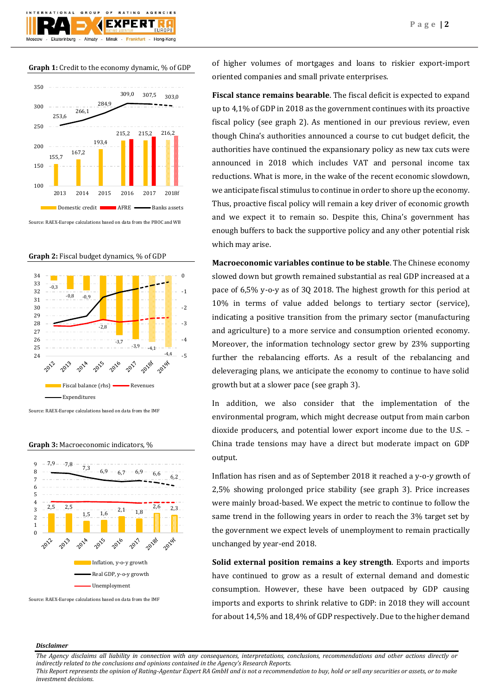# **Graph 1:** Credit to the economy dynamic, % of GDP

 $O F$ 

Almaty - Minsk -

GROUP

TIONAL

Ekaterinburg

**RATING** 

**EXPERT** 

AGENCIES

Frankfurt - Hong-Kong



Source: RAEX-Europe calculations based on data from the PBOC and WB





Source: RAEX-Europe calculations based on data from the IMF

#### **Graph 3:** Macroeconomic indicators, %



Source: RAEX-Europe calculations based on data from the IMF

of higher volumes of mortgages and loans to riskier export-import oriented companies and small private enterprises.

**Fiscal stance remains bearable**. The fiscal deficit is expected to expand up to 4,1% of GDP in 2018 as the government continues with its proactive fiscal policy (see graph 2). As mentioned in our previous review, even though China's authorities announced a course to cut budget deficit, the authorities have continued the expansionary policy as new tax cuts were announced in 2018 which includes VAT and personal income tax reductions. What is more, in the wake of the recent economic slowdown, we anticipate fiscal stimulus to continue in order to shore up the economy. Thus, proactive fiscal policy will remain a key driver of economic growth and we expect it to remain so. Despite this, China's government has enough buffers to back the supportive policy and any other potential risk which may arise.

**Macroeconomic variables continue to be stable**. The Chinese economy slowed down but growth remained substantial as real GDP increased at a pace of 6,5% y-o-y as of 3Q 2018. The highest growth for this period at 10% in terms of value added belongs to tertiary sector (service), indicating a positive transition from the primary sector (manufacturing and agriculture) to a more service and consumption oriented economy. Moreover, the information technology sector grew by 23% supporting further the rebalancing efforts. As a result of the rebalancing and deleveraging plans, we anticipate the economy to continue to have solid growth but at a slower pace (see graph 3).

In addition, we also consider that the implementation of the environmental program, which might decrease output from main carbon dioxide producers, and potential lower export income due to the U.S. – China trade tensions may have a direct but moderate impact on GDP output.

Inflation has risen and as of September 2018 it reached a y-o-y growth of 2,5% showing prolonged price stability (see graph 3). Price increases were mainly broad-based. We expect the metric to continue to follow the same trend in the following years in order to reach the 3% target set by the government we expect levels of unemployment to remain practically unchanged by year-end 2018.

**Solid external position remains a key strength**. Exports and imports have continued to grow as a result of external demand and domestic consumption. However, these have been outpaced by GDP causing imports and exports to shrink relative to GDP: in 2018 they will account for about 14,5% and 18,4% of GDP respectively. Due to the higher demand

# *Disclaimer*

*The Agency disclaims all liability in connection with any consequences, interpretations, conclusions, recommendations and other actions directly or indirectly related to the conclusions and opinions contained in the Agency's Research Reports.*

*This Report represents the opinion of Rating-Agentur Expert RA GmbH and is not a recommendation to buy, hold or sell any securities or assets, or to make investment decisions.*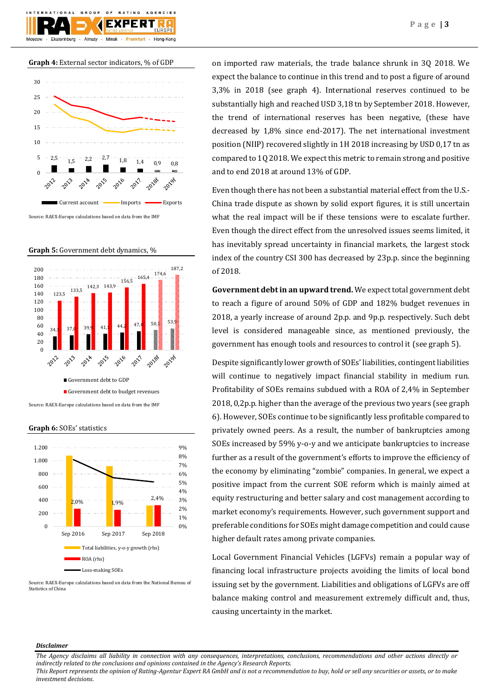





**Graph 6:** SOEs' statistics



Source: RAEX-Europe calculations based on data from the National Bureau of Statistics of China

on imported raw materials, the trade balance shrunk in 3Q 2018. We expect the balance to continue in this trend and to post a figure of around 3,3% in 2018 (see graph 4). International reserves continued to be substantially high and reached USD 3,18 tn by September 2018. However, the trend of international reserves has been negative, (these have decreased by 1,8% since end-2017). The net international investment position (NIIP) recovered slightly in 1H 2018 increasing by USD 0,17 tn as compared to 1Q 2018. We expect this metric to remain strong and positive and to end 2018 at around 13% of GDP.

Even though there has not been a substantial material effect from the U.S.- China trade dispute as shown by solid export figures, it is still uncertain what the real impact will be if these tensions were to escalate further. Even though the direct effect from the unresolved issues seems limited, it has inevitably spread uncertainty in financial markets, the largest stock index of the country CSI 300 has decreased by 23p.p. since the beginning of 2018.

**Government debt in an upward trend.** We expect total government debt to reach a figure of around 50% of GDP and 182% budget revenues in 2018, a yearly increase of around 2p.p. and 9p.p. respectively. Such debt level is considered manageable since, as mentioned previously, the government has enough tools and resources to control it (see graph 5).

Despite significantly lower growth of SOEs' liabilities, contingent liabilities will continue to negatively impact financial stability in medium run. Profitability of SOEs remains subdued with a ROA of 2,4% in September 2018, 0,2p.p. higher than the average of the previous two years (see graph 6). However, SOEs continue to be significantly less profitable compared to privately owned peers. As a result, the number of bankruptcies among SOEs increased by 59% y-o-y and we anticipate bankruptcies to increase further as a result of the government's efforts to improve the efficiency of the economy by eliminating "zombie" companies. In general, we expect a positive impact from the current SOE reform which is mainly aimed at equity restructuring and better salary and cost management according to market economy's requirements. However, such government support and preferable conditions for SOEs might damage competition and could cause higher default rates among private companies.

Local Government Financial Vehicles (LGFVs) remain a popular way of financing local infrastructure projects avoiding the limits of local bond issuing set by the government. Liabilities and obligations of LGFVs are off balance making control and measurement extremely difficult and, thus, causing uncertainty in the market.

# *Disclaimer*

*The Agency disclaims all liability in connection with any consequences, interpretations, conclusions, recommendations and other actions directly or indirectly related to the conclusions and opinions contained in the Agency's Research Reports.*

*This Report represents the opinion of Rating-Agentur Expert RA GmbH and is not a recommendation to buy, hold or sell any securities or assets, or to make investment decisions.*